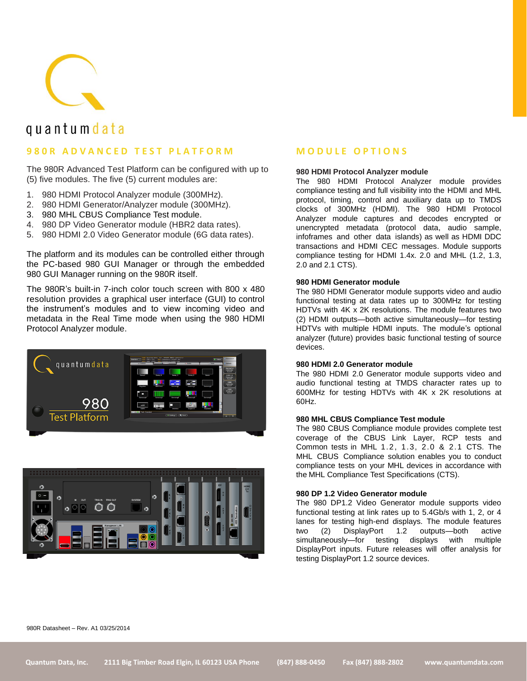

# quantum data

## **9 8 0 R A D V A N C E D T E S T P L A T F O R M**

The 980R Advanced Test Platform can be configured with up to (5) five modules. The five (5) current modules are:

- 1. 980 HDMI Protocol Analyzer module (300MHz).
- 2. 980 HDMI Generator/Analyzer module (300MHz).
- 3. 980 MHL CBUS Compliance Test module.
- 4. 980 DP Video Generator module (HBR2 data rates).
- 5. 980 HDMI 2.0 Video Generator module (6G data rates).

The platform and its modules can be controlled either through the PC-based 980 GUI Manager or through the embedded 980 GUI Manager running on the 980R itself.

The 980R's built-in 7-inch color touch screen with 800 x 480 resolution provides a graphical user interface (GUI) to control the instrument's modules and to view incoming video and metadata in the Real Time mode when using the 980 HDMI Protocol Analyzer module.





### **M O D U L E O P T I O N S**

#### **980 HDMI Protocol Analyzer module**

The 980 HDMI Protocol Analyzer module provides compliance testing and full visibility into the HDMI and MHL protocol, timing, control and auxiliary data up to TMDS clocks of 300MHz (HDMI). The 980 HDMI Protocol Analyzer module captures and decodes encrypted or unencrypted metadata (protocol data, audio sample, infoframes and other data islands) as well as HDMI DDC transactions and HDMI CEC messages. Module supports compliance testing for HDMI 1.4x. 2.0 and MHL (1.2, 1.3, 2.0 and 2.1 CTS).

#### **980 HDMI Generator module**

The 980 HDMI Generator module supports video and audio functional testing at data rates up to 300MHz for testing HDTVs with 4K x 2K resolutions. The module features two (2) HDMI outputs—both active simultaneously—for testing HDTVs with multiple HDMI inputs. The module's optional analyzer (future) provides basic functional testing of source devices.

#### **980 HDMI 2.0 Generator module**

The 980 HDMI 2.0 Generator module supports video and audio functional testing at TMDS character rates up to 600MHz for testing HDTVs with 4K x 2K resolutions at 60Hz.

#### **980 MHL CBUS Compliance Test module**

The 980 CBUS Compliance module provides complete test coverage of the CBUS Link Layer, RCP tests and Common tests in MHL 1.2, 1.3, 2.0 & 2.1 CTS. The MHL CBUS Compliance solution enables you to conduct compliance tests on your MHL devices in accordance with the MHL Compliance Test Specifications (CTS).

#### **980 DP 1.2 Video Generator module**

The 980 DP1.2 Video Generator module supports video functional testing at link rates up to 5.4Gb/s with 1, 2, or 4 lanes for testing high-end displays. The module features two (2) DisplayPort 1.2 outputs—both active simultaneously—for testing displays with multiple DisplayPort inputs. Future releases will offer analysis for testing DisplayPort 1.2 source devices.

980R Datasheet – Rev. A1 03/25/2014